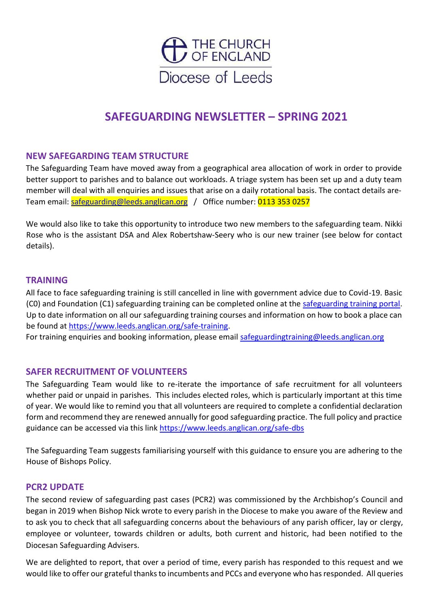

# **SAFEGUARDING NEWSLETTER – SPRING 2021**

### **NEW SAFEGARDING TEAM STRUCTURE**

The Safeguarding Team have moved away from a geographical area allocation of work in order to provide better support to parishes and to balance out workloads. A triage system has been set up and a duty team member will deal with all enquiries and issues that arise on a daily rotational basis. The contact details areTeam email: [safeguarding@leeds.anglican.org](mailto:safeguarding@leeds.anglican.org) / Office number: 0113 353 0257

We would also like to take this opportunity to introduce two new members to the safeguarding team. Nikki Rose who is the assistant DSA and Alex Robertshaw-Seery who is our new trainer (see below for contact details).

#### **TRAINING**

All face to face safeguarding training is still cancelled in line with government advice due to Covid-19. Basic (C0) and Foundation (C1) safeguarding training can be completed online at the [safeguarding training portal.](https://safeguardingtraining.cofeportal.org/enrol/index.php?id=34) Up to date information on all our safeguarding training courses and information on how to book a place can be found at [https://www.leeds.anglican.org/safe-training.](https://www.leeds.anglican.org/safe-training)

For training enquiries and booking information, please email [safeguardingtraining@leeds.anglican.org](mailto:safeguardingtraining@leeds.anglican.org)

#### **SAFER RECRUITMENT OF VOLUNTEERS**

The Safeguarding Team would like to re-iterate the importance of safe recruitment for all volunteers whether paid or unpaid in parishes. This includes elected roles, which is particularly important at this time of year. We would like to remind you that all volunteers are required to complete a confidential declaration form and recommend they are renewed annually for good safeguarding practice. The full policy and practice guidance can be accessed via this link<https://www.leeds.anglican.org/safe-dbs>

The Safeguarding Team suggests familiarising yourself with this guidance to ensure you are adhering to the House of Bishops Policy.

#### **PCR2 UPDATE**

The second review of safeguarding past cases (PCR2) was commissioned by the Archbishop's Council and began in 2019 when Bishop Nick wrote to every parish in the Diocese to make you aware of the Review and to ask you to check that all safeguarding concerns about the behaviours of any parish officer, lay or clergy, employee or volunteer, towards children or adults, both current and historic, had been notified to the Diocesan Safeguarding Advisers.

We are delighted to report, that over a period of time, every parish has responded to this request and we would like to offer our grateful thanks to incumbents and PCCs and everyone who has responded. All queries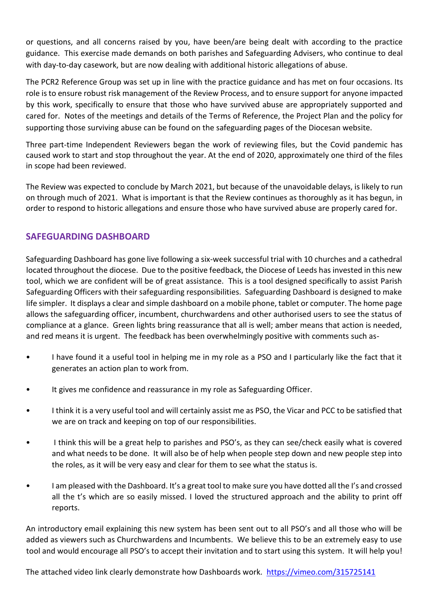or questions, and all concerns raised by you, have been/are being dealt with according to the practice guidance. This exercise made demands on both parishes and Safeguarding Advisers, who continue to deal with day-to-day casework, but are now dealing with additional historic allegations of abuse.

The PCR2 Reference Group was set up in line with the practice guidance and has met on four occasions. Its role is to ensure robust risk management of the Review Process, and to ensure support for anyone impacted by this work, specifically to ensure that those who have survived abuse are appropriately supported and cared for. Notes of the meetings and details of the Terms of Reference, the Project Plan and the policy for supporting those surviving abuse can be found on the safeguarding pages of the Diocesan website.

Three part-time Independent Reviewers began the work of reviewing files, but the Covid pandemic has caused work to start and stop throughout the year. At the end of 2020, approximately one third of the files in scope had been reviewed.

The Review was expected to conclude by March 2021, but because of the unavoidable delays, is likely to run on through much of 2021. What is important is that the Review continues as thoroughly as it has begun, in order to respond to historic allegations and ensure those who have survived abuse are properly cared for.

## **SAFEGUARDING DASHBOARD**

Safeguarding Dashboard has gone live following a six-week successful trial with 10 churches and a cathedral located throughout the diocese. Due to the positive feedback, the Diocese of Leeds has invested in this new tool, which we are confident will be of great assistance. This is a tool designed specifically to assist Parish Safeguarding Officers with their safeguarding responsibilities. Safeguarding Dashboard is designed to make life simpler. It displays a clear and simple dashboard on a mobile phone, tablet or computer. The home page allows the safeguarding officer, incumbent, churchwardens and other authorised users to see the status of compliance at a glance. Green lights bring reassurance that all is well; amber means that action is needed, and red means it is urgent. The feedback has been overwhelmingly positive with comments such as-

- I have found it a useful tool in helping me in my role as a PSO and I particularly like the fact that it generates an action plan to work from.
- It gives me confidence and reassurance in my role as Safeguarding Officer.
- I think it is a very useful tool and will certainly assist me as PSO, the Vicar and PCC to be satisfied that we are on track and keeping on top of our responsibilities.
- I think this will be a great help to parishes and PSO's, as they can see/check easily what is covered and what needs to be done. It will also be of help when people step down and new people step into the roles, as it will be very easy and clear for them to see what the status is.
- I am pleased with the Dashboard. It's a great tool to make sure you have dotted all the I's and crossed all the t's which are so easily missed. I loved the structured approach and the ability to print off reports.

An introductory email explaining this new system has been sent out to all PSO's and all those who will be added as viewers such as Churchwardens and Incumbents. We believe this to be an extremely easy to use tool and would encourage all PSO's to accept their invitation and to start using this system. It will help you!

The attached video link clearly demonstrate how Dashboards work. <https://vimeo.com/315725141>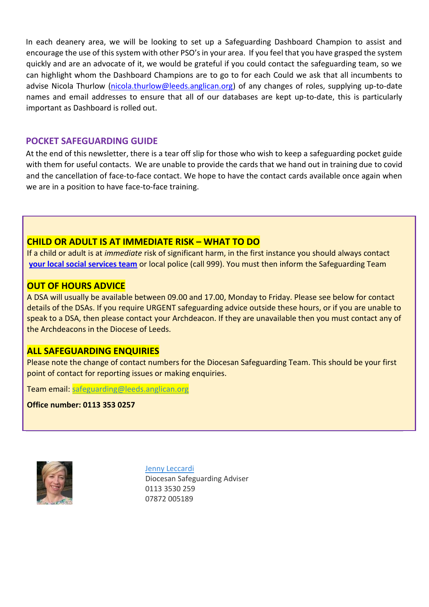In each deanery area, we will be looking to set up a Safeguarding Dashboard Champion to assist and encourage the use of this system with other PSO's in your area. If you feel that you have grasped the system quickly and are an advocate of it, we would be grateful if you could contact the safeguarding team, so we can highlight whom the Dashboard Champions are to go to for each Could we ask that all incumbents to advise Nicola Thurlow [\(nicola.thurlow@leeds.anglican.org\)](mailto:nicola.thurlow@leeds.anglican.org) of any changes of roles, supplying up-to-date names and email addresses to ensure that all of our databases are kept up-to-date, this is particularly important as Dashboard is rolled out.

#### **POCKET SAFEGUARDING GUIDE**

At the end of this newsletter, there is a tear off slip for those who wish to keep a safeguarding pocket guide with them for useful contacts. We are unable to provide the cards that we hand out in training due to covid and the cancellation of face-to-face contact. We hope to have the contact cards available once again when we are in a position to have face-to-face training.

## **CHILD OR ADULT IS AT IMMEDIATE RISK – WHAT TO DO**

If a child or adult is at *immediate* risk of significant harm, in the first instance you should always contact **[your local social services team](http://www.leeds.anglican.org/sites/default/files/Contact%20numbers%20-%20Children%20and%20Adult%20Services.pdf)** or local police (call 999). You must then inform the Safeguarding Team

#### **OUT OF HOURS ADVICE**

A DSA will usually be available between 09.00 and 17.00, Monday to Friday. Please see below for contact details of the DSAs. If you require URGENT safeguarding advice outside these hours, or if you are unable to speak to a DSA, then please contact your Archdeacon. If they are unavailable then you must contact any of the Archdeacons in the Diocese of Leeds.

### **ALL SAFEGUARDING ENQUIRIES**

Please note the change of contact numbers for the Diocesan Safeguarding Team. This should be your first point of contact for reporting issues or making enquiries.

Team email: [safeguarding@leeds.anglican.org](mailto:safeguarding@leeds.anglican.org)

**Office number: 0113 353 0257**



[Jenny Leccardi](mailto:Jenny%20Leccardi%20%3cJenny.Leccardi@leeds.anglican.org%3e)

Diocesan Safeguarding Adviser 0113 3530 259 07872 005189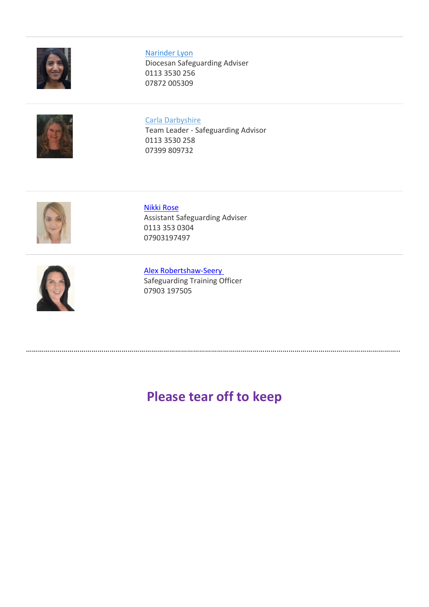

#### [Narinder Lyon](mailto:Narinder%20Lyon%20%3cnarinder.lyon@leeds.anglican.org%3e)

Diocesan Safeguarding Adviser 0113 3530 256 07872 005309



#### Carla [Darbyshire](mailto:Carla%20Darbyshire%20%3cCarla.Darbyshire@leeds.anglican.org%3e)

Team Leader - Safeguarding Advisor 0113 3530 258 07399 809732



#### [Nikki Rose](mailto:Nikki%20Rose%20%3cNikki.Rose@leeds.anglican.org%3e) Assistant Safeguarding Adviser 0113 353 0304 07903197497



[Alex Robertshaw-Seery](mailto:Alex%20Robertshaw-Seery%20%3cAlex.RobertshawSeery@leeds.anglican.org%3e) Safeguarding Training Officer 07903 197505

# **Please tear off to keep**

……………………………………………………………………………………………………………………………………………………………………..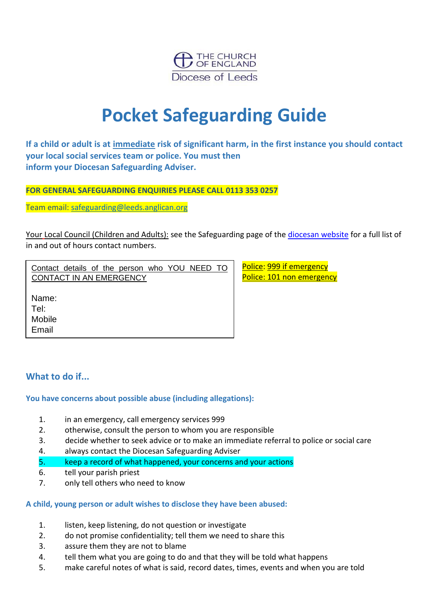

# **Pocket Safeguarding Guide**

**If a child or adult is at immediate risk of significant harm, in the first instance you should contact your local social services team or police. You must then inform your Diocesan Safeguarding Adviser.** 

**FOR GENERAL SAFEGUARDING ENQUIRIES PLEASE CALL 0113 353 0257**

Team email: [safeguarding@leeds.anglican.org](mailto:safeguarding@leeds.anglican.org)

Your Local Council (Children and Adults): see the Safeguarding page of the [diocesan website](https://www.leeds.anglican.org/safe) for a full list of in and out of hours contact numbers.

Contact details of the person who YOU NEED TO CONTACT IN AN EMERGENCY

Police: 999 if emergency Police: 101 non emergency

Name:

Tel:

Mobile

Email

# **What to do if...**

#### **You have concerns about possible abuse (including allegations):**

- 1. in an emergency, call emergency services 999
- 2. otherwise, consult the person to whom you are responsible
- 3. decide whether to seek advice or to make an immediate referral to police or social care
- 4. always contact the Diocesan Safeguarding Adviser
- 5. keep a record of what happened, your concerns and your actions
- 6. tell your parish priest
- 7. only tell others who need to know

#### **A child, young person or adult wishes to disclose they have been abused:**

- 1. listen, keep listening, do not question or investigate
- 2. do not promise confidentiality; tell them we need to share this
- 3. assure them they are not to blame
- 4. tell them what you are going to do and that they will be told what happens
- 5. make careful notes of what is said, record dates, times, events and when you are told